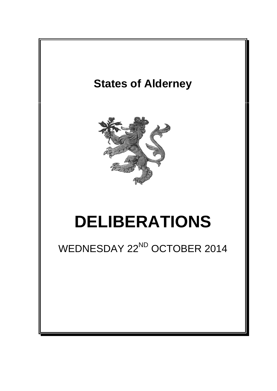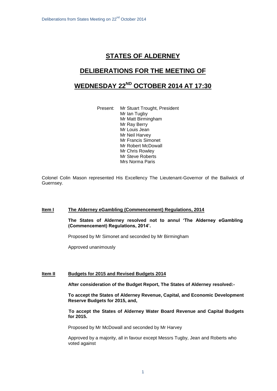# **STATES OF ALDERNEY**

# **DELIBERATIONS FOR THE MEETING OF**

# **WEDNESDAY 22ND OCTOBER 2014 AT 17:30**

Present: Mr Stuart Trought, President Mr Ian Tugby Mr Matt Birmingham Mr Ray Berry Mr Louis Jean Mr Neil Harvey Mr Francis Simonet Mr Robert McDowall Mr Chris Rowley Mr Steve Roberts Mrs Norma Paris

Colonel Colin Mason represented His Excellency The Lieutenant-Governor of the Bailiwick of Guernsey.

## **Item I The Alderney eGambling (Commencement) Regulations, 2014**

**The States of Alderney resolved not to annul 'The Alderney eGambling (Commencement) Regulations, 2014'.**

Proposed by Mr Simonet and seconded by Mr Birmingham

Approved unanimously

## **Item II Budgets for 2015 and Revised Budgets 2014**

**After consideration of the Budget Report, The States of Alderney resolved:-**

**To accept the States of Alderney Revenue, Capital, and Economic Development Reserve Budgets for 2015, and,** 

**To accept the States of Alderney Water Board Revenue and Capital Budgets for 2015.**

Proposed by Mr McDowall and seconded by Mr Harvey

Approved by a majority, all in favour except Messrs Tugby, Jean and Roberts who voted against